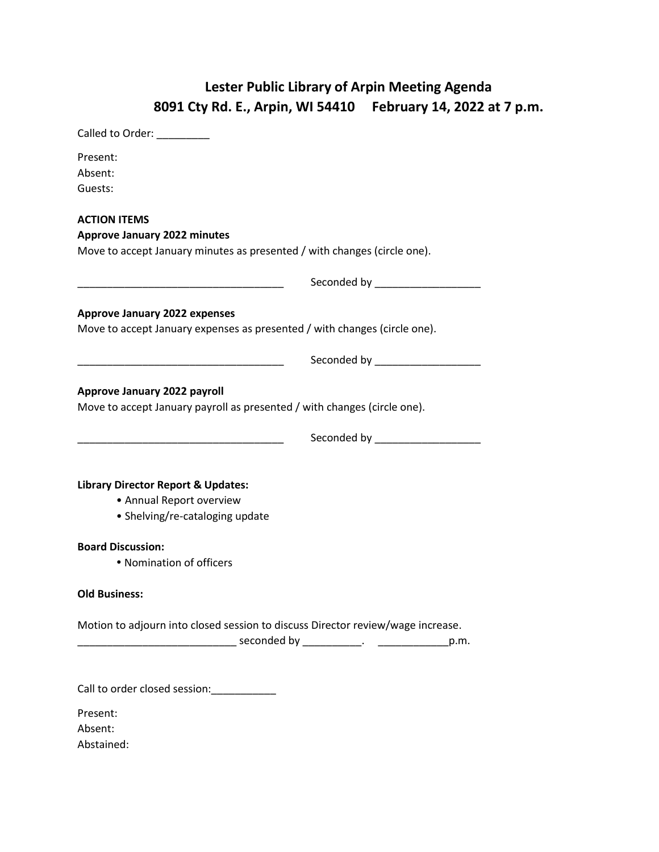## **Lester Public Library of Arpin Meeting Agenda 8091 Cty Rd. E., Arpin, WI 54410 February 14, 2022 at 7 p.m.**

| Called to Order:                                                                                                  |                               |
|-------------------------------------------------------------------------------------------------------------------|-------------------------------|
| Present:<br>Absent:<br>Guests:                                                                                    |                               |
| <b>ACTION ITEMS</b>                                                                                               |                               |
| <b>Approve January 2022 minutes</b><br>Move to accept January minutes as presented / with changes (circle one).   |                               |
|                                                                                                                   | Seconded by _________________ |
| <b>Approve January 2022 expenses</b><br>Move to accept January expenses as presented / with changes (circle one). |                               |
| <u> 1989 - Johann Barbara, martxa alemaniar arg</u>                                                               | Seconded by _________________ |
| Approve January 2022 payroll<br>Move to accept January payroll as presented / with changes (circle one).          |                               |
|                                                                                                                   |                               |
| <b>Library Director Report &amp; Updates:</b><br>• Annual Report overview<br>• Shelving/re-cataloging update      |                               |
| <b>Board Discussion:</b><br>• Nomination of officers                                                              |                               |
| <b>Old Business:</b>                                                                                              |                               |
| Motion to adjourn into closed session to discuss Director review/wage increase.                                   |                               |
| Call to order closed session: __________                                                                          |                               |
| Present:<br>Absent:                                                                                               |                               |

Abstained: